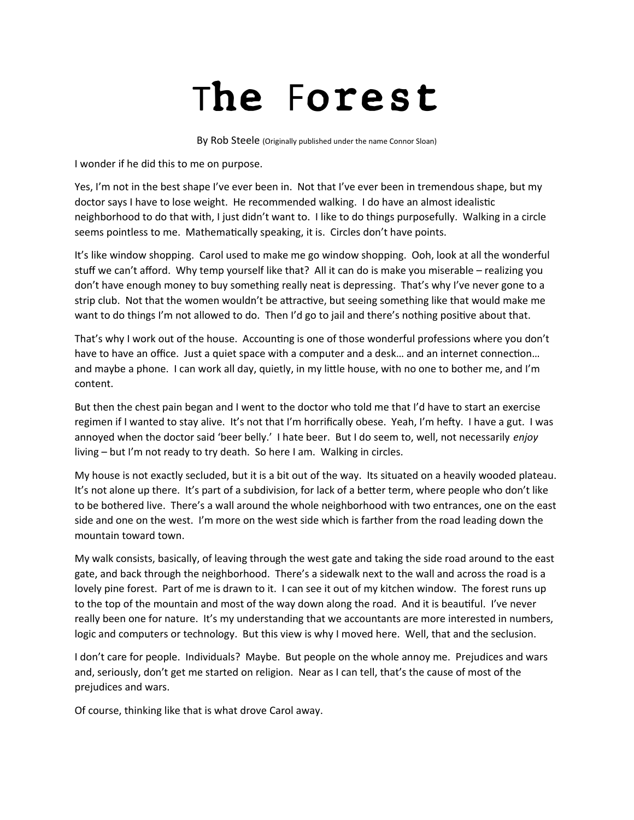## The Forest

By Rob Steele (Originally published under the name Connor Sloan)

I wonder if he did this to me on purpose.

Yes, I'm not in the best shape I've ever been in. Not that I've ever been in tremendous shape, but my doctor says I have to lose weight. He recommended walking. I do have an almost idealistic neighborhood to do that with, I just didn't want to. I like to do things purposefully. Walking in a circle seems pointless to me. Mathematically speaking, it is. Circles don't have points.

It's like window shopping. Carol used to make me go window shopping. Ooh, look at all the wonderful stuff we can't afford. Why temp yourself like that? All it can do is make you miserable – realizing you don't have enough money to buy something really neat is depressing. That's why I've never gone to a strip club. Not that the women wouldn't be attractive, but seeing something like that would make me want to do things I'm not allowed to do. Then I'd go to jail and there's nothing positive about that.

That's why I work out of the house. Accounting is one of those wonderful professions where you don't have to have an office. Just a quiet space with a computer and a desk... and an internet connection... and maybe a phone. I can work all day, quietly, in my little house, with no one to bother me, and I'm content.

But then the chest pain began and I went to the doctor who told me that I'd have to start an exercise regimen if I wanted to stay alive. It's not that I'm horrifically obese. Yeah, I'm hefty. I have a gut. I was annoyed when the doctor said 'beer belly.' I hate beer. But I do seem to, well, not necessarily *enjoy* living – but I'm not ready to try death. So here I am. Walking in circles.

My house is not exactly secluded, but it is a bit out of the way. Its situated on a heavily wooded plateau. It's not alone up there. It's part of a subdivision, for lack of a better term, where people who don't like to be bothered live. There's a wall around the whole neighborhood with two entrances, one on the east side and one on the west. I'm more on the west side which is farther from the road leading down the mountain toward town.

My walk consists, basically, of leaving through the west gate and taking the side road around to the east gate, and back through the neighborhood. There's a sidewalk next to the wall and across the road is a lovely pine forest. Part of me is drawn to it. I can see it out of my kitchen window. The forest runs up to the top of the mountain and most of the way down along the road. And it is beautiful. I've never really been one for nature. It's my understanding that we accountants are more interested in numbers, logic and computers or technology. But this view is why I moved here. Well, that and the seclusion.

I don't care for people. Individuals? Maybe. But people on the whole annoy me. Prejudices and wars and, seriously, don't get me started on religion. Near as I can tell, that's the cause of most of the prejudices and wars.

Of course, thinking like that is what drove Carol away.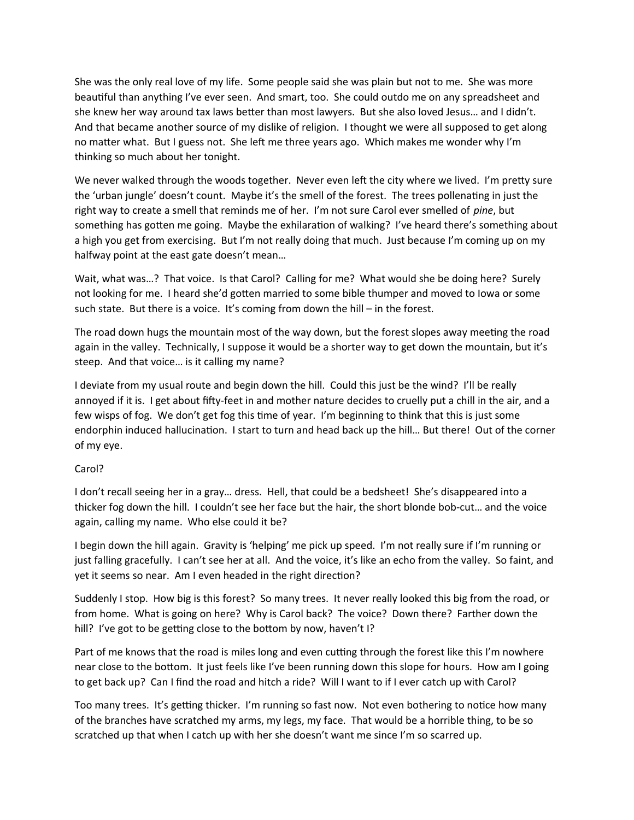She was the only real love of my life. Some people said she was plain but not to me. She was more beautiful than anything I've ever seen. And smart, too. She could outdo me on any spreadsheet and she knew her way around tax laws better than most lawyers. But she also loved Jesus… and I didn't. And that became another source of my dislike of religion. I thought we were all supposed to get along no matter what. But I guess not. She left me three years ago. Which makes me wonder why I'm thinking so much about her tonight.

We never walked through the woods together. Never even left the city where we lived. I'm pretty sure the 'urban jungle' doesn't count. Maybe it's the smell of the forest. The trees pollenating in just the right way to create a smell that reminds me of her. I'm not sure Carol ever smelled of *pine*, but something has gotten me going. Maybe the exhilaration of walking? I've heard there's something about a high you get from exercising. But I'm not really doing that much. Just because I'm coming up on my halfway point at the east gate doesn't mean…

Wait, what was…? That voice. Is that Carol? Calling for me? What would she be doing here? Surely not looking for me. I heard she'd gotten married to some bible thumper and moved to Iowa or some such state. But there is a voice. It's coming from down the hill – in the forest.

The road down hugs the mountain most of the way down, but the forest slopes away meeting the road again in the valley. Technically, I suppose it would be a shorter way to get down the mountain, but it's steep. And that voice… is it calling my name?

I deviate from my usual route and begin down the hill. Could this just be the wind? I'll be really annoyed if it is. I get about fifty-feet in and mother nature decides to cruelly put a chill in the air, and a few wisps of fog. We don't get fog this time of year. I'm beginning to think that this is just some endorphin induced hallucination. I start to turn and head back up the hill… But there! Out of the corner of my eye.

## Carol?

I don't recall seeing her in a gray… dress. Hell, that could be a bedsheet! She's disappeared into a thicker fog down the hill. I couldn't see her face but the hair, the short blonde bob-cut… and the voice again, calling my name. Who else could it be?

I begin down the hill again. Gravity is 'helping' me pick up speed. I'm not really sure if I'm running or just falling gracefully. I can't see her at all. And the voice, it's like an echo from the valley. So faint, and yet it seems so near. Am I even headed in the right direction?

Suddenly I stop. How big is this forest? So many trees. It never really looked this big from the road, or from home. What is going on here? Why is Carol back? The voice? Down there? Farther down the hill? I've got to be getting close to the bottom by now, haven't I?

Part of me knows that the road is miles long and even cutting through the forest like this I'm nowhere near close to the bottom. It just feels like I've been running down this slope for hours. How am I going to get back up? Can I find the road and hitch a ride? Will I want to if I ever catch up with Carol?

Too many trees. It's getting thicker. I'm running so fast now. Not even bothering to notice how many of the branches have scratched my arms, my legs, my face. That would be a horrible thing, to be so scratched up that when I catch up with her she doesn't want me since I'm so scarred up.